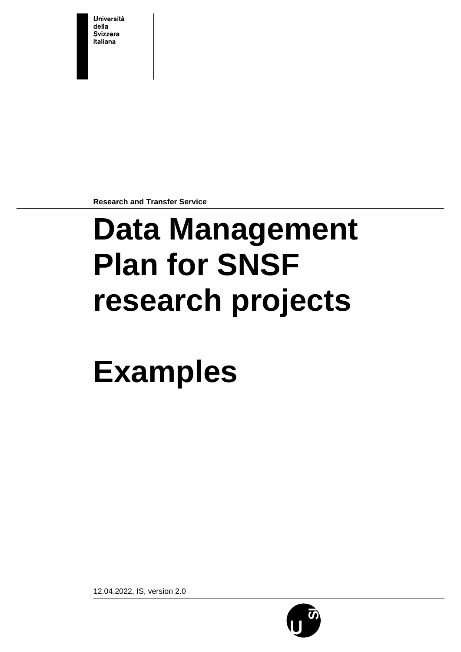Università della **Svizzera** italiana

**Research and Transfer Service**

# **Data Management Plan for SNSF research projects**

# **Examples**

12.04.2022, IS, version 2.0

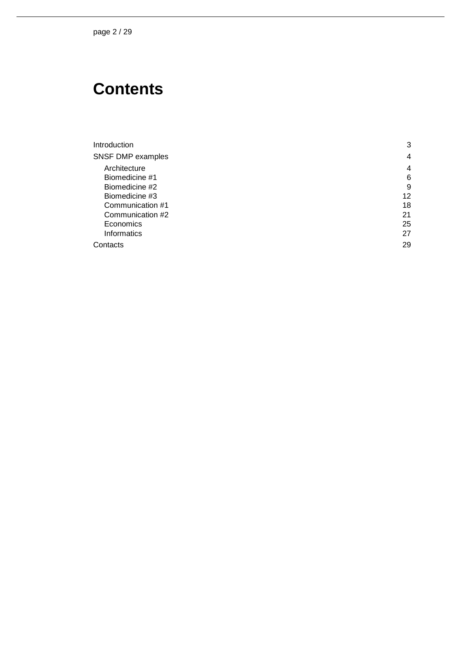pag e 2 / 29

# **Contents**

| Introduction      | 3  |
|-------------------|----|
| SNSF DMP examples | 4  |
| Architecture      | 4  |
| Biomedicine #1    | 6  |
| Biomedicine #2    | 9  |
| Biomedicine #3    | 12 |
| Communication #1  | 18 |
| Communication #2  | 21 |
| Economics         | 25 |
| Informatics       | 27 |
| Contacts          | 29 |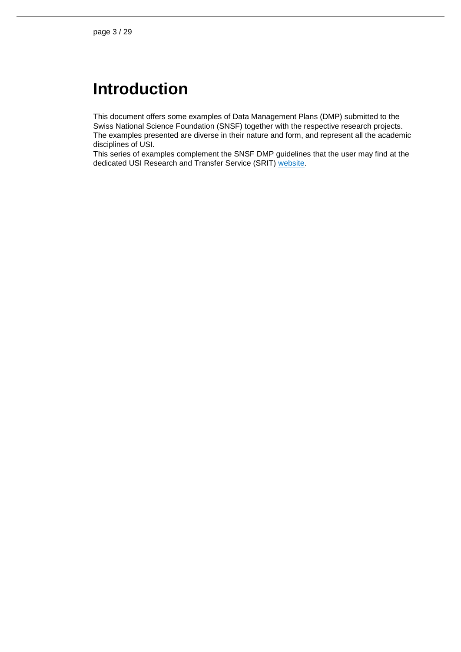## <span id="page-2-0"></span>**Introduction**

This document offers some examples of Data Management Plans (DMP) submitted to the Swiss National Science Foundation (SNSF) together with the respective research projects. The examples presented are diverse in their nature and form, and represent all the academic disciplines of USI.

This series of examples complement the SNSF DMP guidelines that the user may find at the dedicated USI Research and Transfer Service (SRIT) [website.](https://www.usi.ch/en/universita/info/srit/research-data-management-service/data-management-plan-dmp)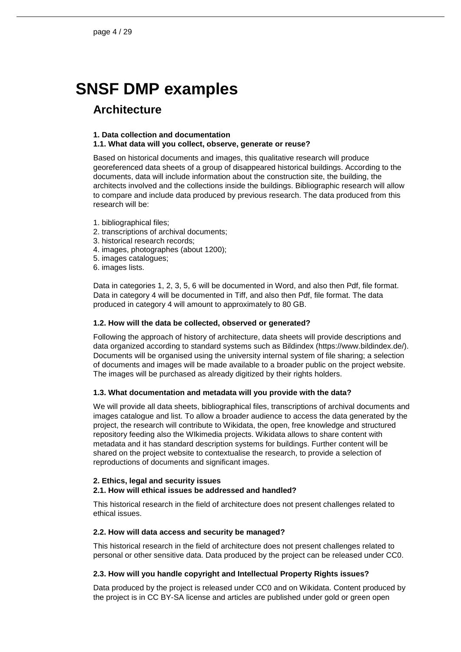# <span id="page-3-0"></span>**SNSF DMP examples**

### <span id="page-3-1"></span>**Architecture**

#### **1. Data collection and documentation**

#### **1.1. What data will you collect, observe, generate or reuse?**

Based on historical documents and images, this qualitative research will produce georeferenced data sheets of a group of disappeared historical buildings. According to the documents, data will include information about the construction site, the building, the architects involved and the collections inside the buildings. Bibliographic research will allow to compare and include data produced by previous research. The data produced from this research will be:

- 1. bibliographical files;
- 2. transcriptions of archival documents;
- 3. historical research records;
- 4. images, photographes (about 1200);
- 5. images catalogues;
- 6. images lists.

Data in categories 1, 2, 3, 5, 6 will be documented in Word, and also then Pdf, file format. Data in category 4 will be documented in Tiff, and also then Pdf, file format. The data produced in category 4 will amount to approximately to 80 GB.

#### **1.2. How will the data be collected, observed or generated?**

Following the approach of history of architecture, data sheets will provide descriptions and data organized according to standard systems such as Bildindex (https://www.bildindex.de/). Documents will be organised using the university internal system of file sharing; a selection of documents and images will be made available to a broader public on the project website. The images will be purchased as already digitized by their rights holders.

#### **1.3. What documentation and metadata will you provide with the data?**

We will provide all data sheets, bibliographical files, transcriptions of archival documents and images catalogue and list. To allow a broader audience to access the data generated by the project, the research will contribute to Wikidata, the open, free knowledge and structured repository feeding also the WIkimedia projects. Wikidata allows to share content with metadata and it has standard description systems for buildings. Further content will be shared on the project website to contextualise the research, to provide a selection of reproductions of documents and significant images.

#### **2. Ethics, legal and security issues**

#### **2.1. How will ethical issues be addressed and handled?**

This historical research in the field of architecture does not present challenges related to ethical issues.

#### **2.2. How will data access and security be managed?**

This historical research in the field of architecture does not present challenges related to personal or other sensitive data. Data produced by the project can be released under CC0.

#### **2.3. How will you handle copyright and Intellectual Property Rights issues?**

Data produced by the project is released under CC0 and on Wikidata. Content produced by the project is in CC BY-SA license and articles are published under gold or green open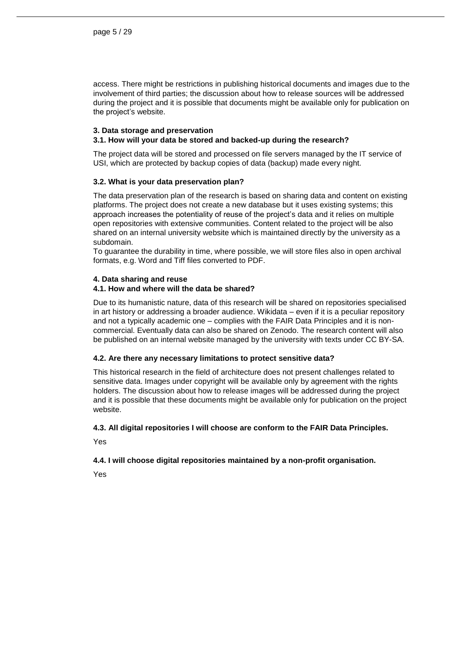access. There might be restrictions in publishing historical documents and images due to the involvement of third parties; the discussion about how to release sources will be addressed during the project and it is possible that documents might be available only for publication on the project's website.

#### **3. Data storage and preservation**

#### **3.1. How will your data be stored and backed-up during the research?**

The project data will be stored and processed on file servers managed by the IT service of USI, which are protected by backup copies of data (backup) made every night.

#### **3.2. What is your data preservation plan?**

The data preservation plan of the research is based on sharing data and content on existing platforms. The project does not create a new database but it uses existing systems; this approach increases the potentiality of reuse of the project's data and it relies on multiple open repositories with extensive communities. Content related to the project will be also shared on an internal university website which is maintained directly by the university as a subdomain.

To guarantee the durability in time, where possible, we will store files also in open archival formats, e.g. Word and Tiff files converted to PDF.

#### **4. Data sharing and reuse**

#### **4.1. How and where will the data be shared?**

Due to its humanistic nature, data of this research will be shared on repositories specialised in art history or addressing a broader audience. Wikidata – even if it is a peculiar repository and not a typically academic one – complies with the FAIR Data Principles and it is noncommercial. Eventually data can also be shared on Zenodo. The research content will also be published on an internal website managed by the university with texts under CC BY-SA.

#### **4.2. Are there any necessary limitations to protect sensitive data?**

This historical research in the field of architecture does not present challenges related to sensitive data. Images under copyright will be available only by agreement with the rights holders. The discussion about how to release images will be addressed during the project and it is possible that these documents might be available only for publication on the project website.

#### **4.3. All digital repositories I will choose are conform to the FAIR Data Principles.**

Yes

#### **4.4. I will choose digital repositories maintained by a non-profit organisation.**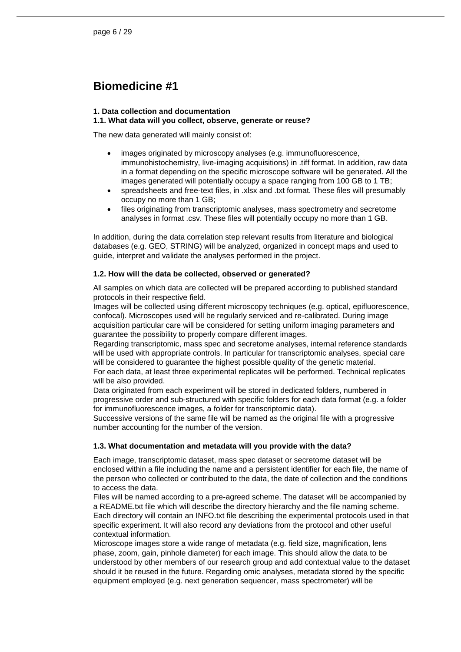## <span id="page-5-0"></span>**Biomedicine #1**

#### **1. Data collection and documentation**

#### **1.1. What data will you collect, observe, generate or reuse?**

The new data generated will mainly consist of:

- images originated by microscopy analyses (e.g. immunofluorescence, immunohistochemistry, live-imaging acquisitions) in .tiff format. In addition, raw data in a format depending on the specific microscope software will be generated. All the images generated will potentially occupy a space ranging from 100 GB to 1 TB;
- spreadsheets and free-text files, in .xlsx and .txt format. These files will presumably occupy no more than 1 GB;
- files originating from transcriptomic analyses, mass spectrometry and secretome analyses in format .csv. These files will potentially occupy no more than 1 GB.

In addition, during the data correlation step relevant results from literature and biological databases (e.g. GEO, STRING) will be analyzed, organized in concept maps and used to guide, interpret and validate the analyses performed in the project.

#### **1.2. How will the data be collected, observed or generated?**

All samples on which data are collected will be prepared according to published standard protocols in their respective field.

Images will be collected using different microscopy techniques (e.g. optical, epifluorescence, confocal). Microscopes used will be regularly serviced and re-calibrated. During image acquisition particular care will be considered for setting uniform imaging parameters and guarantee the possibility to properly compare different images.

Regarding transcriptomic, mass spec and secretome analyses, internal reference standards will be used with appropriate controls. In particular for transcriptomic analyses, special care will be considered to guarantee the highest possible quality of the genetic material.

For each data, at least three experimental replicates will be performed. Technical replicates will be also provided.

Data originated from each experiment will be stored in dedicated folders, numbered in progressive order and sub-structured with specific folders for each data format (e.g. a folder for immunofluorescence images, a folder for transcriptomic data).

Successive versions of the same file will be named as the original file with a progressive number accounting for the number of the version.

#### **1.3. What documentation and metadata will you provide with the data?**

Each image, transcriptomic dataset, mass spec dataset or secretome dataset will be enclosed within a file including the name and a persistent identifier for each file, the name of the person who collected or contributed to the data, the date of collection and the conditions to access the data.

Files will be named according to a pre-agreed scheme. The dataset will be accompanied by a README.txt file which will describe the directory hierarchy and the file naming scheme. Each directory will contain an INFO.txt file describing the experimental protocols used in that specific experiment. It will also record any deviations from the protocol and other useful contextual information.

Microscope images store a wide range of metadata (e.g. field size, magnification, lens phase, zoom, gain, pinhole diameter) for each image. This should allow the data to be understood by other members of our research group and add contextual value to the dataset should it be reused in the future. Regarding omic analyses, metadata stored by the specific equipment employed (e.g. next generation sequencer, mass spectrometer) will be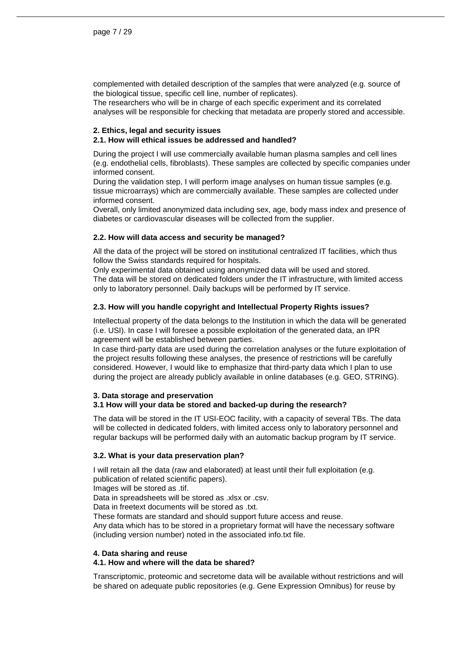complemented with detailed description of the samples that were analyzed (e.g. source of the biological tissue, specific cell line, number of replicates).

The researchers who will be in charge of each specific experiment and its correlated analyses will be responsible for checking that metadata are properly stored and accessible.

#### **2. Ethics, legal and security issues**

#### **2.1. How will ethical issues be addressed and handled?**

During the project I will use commercially available human plasma samples and cell lines (e.g. endothelial cells, fibroblasts). These samples are collected by specific companies under informed consent.

During the validation step, I will perform image analyses on human tissue samples (e.g. tissue microarrays) which are commercially available. These samples are collected under informed consent.

Overall, only limited anonymized data including sex, age, body mass index and presence of diabetes or cardiovascular diseases will be collected from the supplier.

#### **2.2. How will data access and security be managed?**

All the data of the project will be stored on institutional centralized IT facilities, which thus follow the Swiss standards required for hospitals.

Only experimental data obtained using anonymized data will be used and stored. The data will be stored on dedicated folders under the IT infrastructure, with limited access only to laboratory personnel. Daily backups will be performed by IT service.

#### **2.3. How will you handle copyright and Intellectual Property Rights issues?**

Intellectual property of the data belongs to the Institution in which the data will be generated (i.e. USI). In case I will foresee a possible exploitation of the generated data, an IPR agreement will be established between parties.

In case third-party data are used during the correlation analyses or the future exploitation of the project results following these analyses, the presence of restrictions will be carefully considered. However, I would like to emphasize that third-party data which I plan to use during the project are already publicly available in online databases (e.g. GEO, STRING).

#### **3. Data storage and preservation**

#### **3.1 How will your data be stored and backed-up during the research?**

The data will be stored in the IT USI-EOC facility, with a capacity of several TBs. The data will be collected in dedicated folders, with limited access only to laboratory personnel and regular backups will be performed daily with an automatic backup program by IT service.

#### **3.2. What is your data preservation plan?**

I will retain all the data (raw and elaborated) at least until their full exploitation (e.g. publication of related scientific papers).

Images will be stored as .tif.

Data in spreadsheets will be stored as .xlsx or .csv.

Data in freetext documents will be stored as .txt.

These formats are standard and should support future access and reuse.

Any data which has to be stored in a proprietary format will have the necessary software (including version number) noted in the associated info.txt file.

#### **4. Data sharing and reuse**

#### **4.1. How and where will the data be shared?**

Transcriptomic, proteomic and secretome data will be available without restrictions and will be shared on adequate public repositories (e.g. Gene Expression Omnibus) for reuse by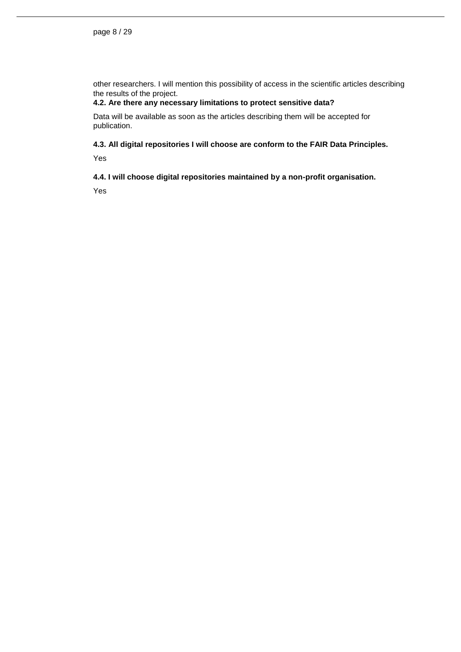other researchers. I will mention this possibility of access in the scientific articles describing the results of the project.

#### **4.2. Are there any necessary limitations to protect sensitive data?**

Data will be available as soon as the articles describing them will be accepted for publication.

**4.3. All digital repositories I will choose are conform to the FAIR Data Principles.**

Yes

**4.4. I will choose digital repositories maintained by a non-profit organisation.**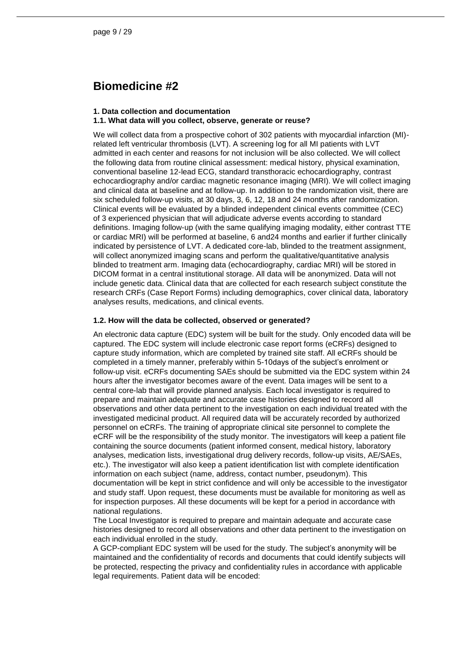## <span id="page-8-0"></span>**Biomedicine #2**

#### **1. Data collection and documentation**

#### **1.1. What data will you collect, observe, generate or reuse?**

We will collect data from a prospective cohort of 302 patients with myocardial infarction (MI) related left ventricular thrombosis (LVT). A screening log for all MI patients with LVT admitted in each center and reasons for not inclusion will be also collected. We will collect the following data from routine clinical assessment: medical history, physical examination, conventional baseline 12-lead ECG, standard transthoracic echocardiography, contrast echocardiography and/or cardiac magnetic resonance imaging (MRI). We will collect imaging and clinical data at baseline and at follow-up. In addition to the randomization visit, there are six scheduled follow-up visits, at 30 days, 3, 6, 12, 18 and 24 months after randomization. Clinical events will be evaluated by a blinded independent clinical events committee (CEC) of 3 experienced physician that will adjudicate adverse events according to standard definitions. Imaging follow-up (with the same qualifying imaging modality, either contrast TTE or cardiac MRI) will be performed at baseline, 6 and24 months and earlier if further clinically indicated by persistence of LVT. A dedicated core-lab, blinded to the treatment assignment, will collect anonymized imaging scans and perform the qualitative/quantitative analysis blinded to treatment arm. Imaging data (echocardiography, cardiac MRI) will be stored in DICOM format in a central institutional storage. All data will be anonymized. Data will not include genetic data. Clinical data that are collected for each research subject constitute the research CRFs (Case Report Forms) including demographics, cover clinical data, laboratory analyses results, medications, and clinical events.

#### **1.2. How will the data be collected, observed or generated?**

An electronic data capture (EDC) system will be built for the study. Only encoded data will be captured. The EDC system will include electronic case report forms (eCRFs) designed to capture study information, which are completed by trained site staff. All eCRFs should be completed in a timely manner, preferably within 5-10days of the subject's enrolment or follow-up visit. eCRFs documenting SAEs should be submitted via the EDC system within 24 hours after the investigator becomes aware of the event. Data images will be sent to a central core-lab that will provide planned analysis. Each local investigator is required to prepare and maintain adequate and accurate case histories designed to record all observations and other data pertinent to the investigation on each individual treated with the investigated medicinal product. All required data will be accurately recorded by authorized personnel on eCRFs. The training of appropriate clinical site personnel to complete the eCRF will be the responsibility of the study monitor. The investigators will keep a patient file containing the source documents (patient informed consent, medical history, laboratory analyses, medication lists, investigational drug delivery records, follow-up visits, AE/SAEs, etc.). The investigator will also keep a patient identification list with complete identification information on each subject (name, address, contact number, pseudonym). This documentation will be kept in strict confidence and will only be accessible to the investigator and study staff. Upon request, these documents must be available for monitoring as well as for inspection purposes. All these documents will be kept for a period in accordance with national regulations.

The Local Investigator is required to prepare and maintain adequate and accurate case histories designed to record all observations and other data pertinent to the investigation on each individual enrolled in the study.

A GCP-compliant EDC system will be used for the study. The subject's anonymity will be maintained and the confidentiality of records and documents that could identify subjects will be protected, respecting the privacy and confidentiality rules in accordance with applicable legal requirements. Patient data will be encoded: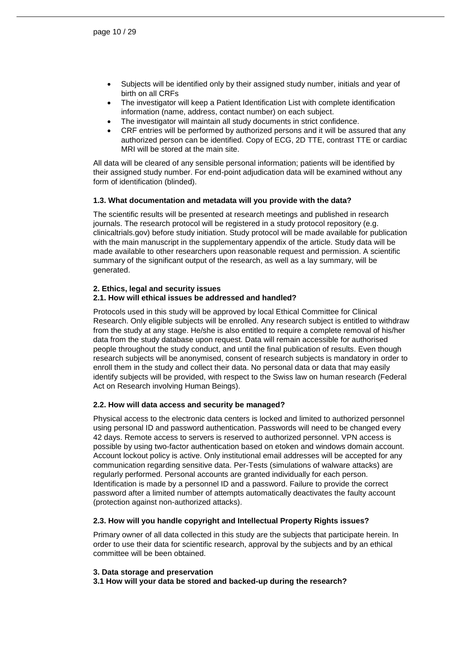- Subjects will be identified only by their assigned study number, initials and year of birth on all CRFs
- The investigator will keep a Patient Identification List with complete identification information (name, address, contact number) on each subject.
- The investigator will maintain all study documents in strict confidence.
- CRF entries will be performed by authorized persons and it will be assured that any authorized person can be identified. Copy of ECG, 2D TTE, contrast TTE or cardiac MRI will be stored at the main site.

All data will be cleared of any sensible personal information; patients will be identified by their assigned study number. For end-point adjudication data will be examined without any form of identification (blinded).

#### **1.3. What documentation and metadata will you provide with the data?**

The scientific results will be presented at research meetings and published in research journals. The research protocol will be registered in a study protocol repository (e.g. clinicaltrials.gov) before study initiation. Study protocol will be made available for publication with the main manuscript in the supplementary appendix of the article. Study data will be made available to other researchers upon reasonable request and permission. A scientific summary of the significant output of the research, as well as a lay summary, will be generated.

#### **2. Ethics, legal and security issues 2.1. How will ethical issues be addressed and handled?**

Protocols used in this study will be approved by local Ethical Committee for Clinical Research. Only eligible subjects will be enrolled. Any research subject is entitled to withdraw from the study at any stage. He/she is also entitled to require a complete removal of his/her data from the study database upon request. Data will remain accessible for authorised people throughout the study conduct, and until the final publication of results. Even though research subjects will be anonymised, consent of research subjects is mandatory in order to enroll them in the study and collect their data. No personal data or data that may easily identify subjects will be provided, with respect to the Swiss law on human research (Federal Act on Research involving Human Beings).

#### **2.2. How will data access and security be managed?**

Physical access to the electronic data centers is locked and limited to authorized personnel using personal ID and password authentication. Passwords will need to be changed every 42 days. Remote access to servers is reserved to authorized personnel. VPN access is possible by using two-factor authentication based on etoken and windows domain account. Account lockout policy is active. Only institutional email addresses will be accepted for any communication regarding sensitive data. Per-Tests (simulations of walware attacks) are regularly performed. Personal accounts are granted individually for each person. Identification is made by a personnel ID and a password. Failure to provide the correct password after a limited number of attempts automatically deactivates the faulty account (protection against non-authorized attacks).

#### **2.3. How will you handle copyright and Intellectual Property Rights issues?**

Primary owner of all data collected in this study are the subjects that participate herein. In order to use their data for scientific research, approval by the subjects and by an ethical committee will be been obtained.

#### **3. Data storage and preservation**

**3.1 How will your data be stored and backed-up during the research?**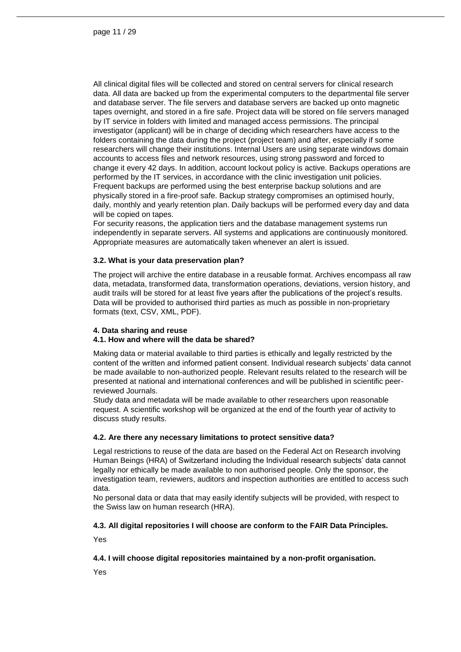All clinical digital files will be collected and stored on central servers for clinical research data. All data are backed up from the experimental computers to the departmental file server and database server. The file servers and database servers are backed up onto magnetic tapes overnight, and stored in a fire safe. Project data will be stored on file servers managed by IT service in folders with limited and managed access permissions. The principal investigator (applicant) will be in charge of deciding which researchers have access to the folders containing the data during the project (project team) and after, especially if some researchers will change their institutions. Internal Users are using separate windows domain accounts to access files and network resources, using strong password and forced to change it every 42 days. In addition, account lockout policy is active. Backups operations are performed by the IT services, in accordance with the clinic investigation unit policies. Frequent backups are performed using the best enterprise backup solutions and are physically stored in a fire-proof safe. Backup strategy compromises an optimised hourly, daily, monthly and yearly retention plan. Daily backups will be performed every day and data will be copied on tapes.

For security reasons, the application tiers and the database management systems run independently in separate servers. All systems and applications are continuously monitored. Appropriate measures are automatically taken whenever an alert is issued.

#### **3.2. What is your data preservation plan?**

The project will archive the entire database in a reusable format. Archives encompass all raw data, metadata, transformed data, transformation operations, deviations, version history, and audit trails will be stored for at least five years after the publications of the project's results. Data will be provided to authorised third parties as much as possible in non-proprietary formats (text, CSV, XML, PDF).

#### **4. Data sharing and reuse**

#### **4.1. How and where will the data be shared?**

Making data or material available to third parties is ethically and legally restricted by the content of the written and informed patient consent. Individual research subjects' data cannot be made available to non-authorized people. Relevant results related to the research will be presented at national and international conferences and will be published in scientific peerreviewed Journals.

Study data and metadata will be made available to other researchers upon reasonable request. A scientific workshop will be organized at the end of the fourth year of activity to discuss study results.

#### **4.2. Are there any necessary limitations to protect sensitive data?**

Legal restrictions to reuse of the data are based on the Federal Act on Research involving Human Beings (HRA) of Switzerland including the Individual research subjects' data cannot legally nor ethically be made available to non authorised people. Only the sponsor, the investigation team, reviewers, auditors and inspection authorities are entitled to access such data.

No personal data or data that may easily identify subjects will be provided, with respect to the Swiss law on human research (HRA).

#### **4.3. All digital repositories I will choose are conform to the FAIR Data Principles.**

Yes

#### **4.4. I will choose digital repositories maintained by a non-profit organisation.**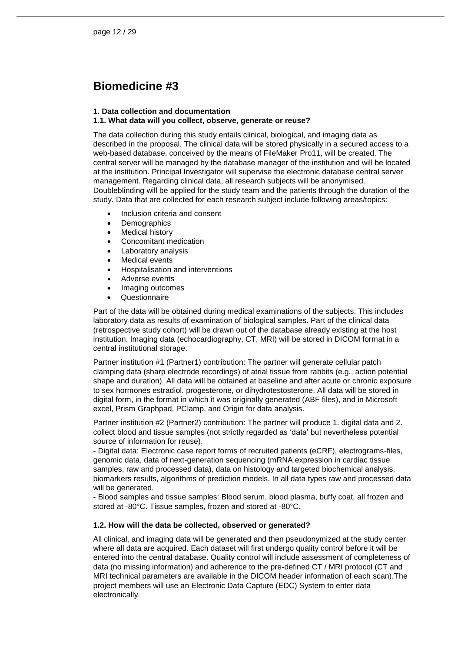## <span id="page-11-0"></span>**Biomedicine #3**

#### **1. Data collection and documentation**

#### **1.1. What data will you collect, observe, generate or reuse?**

The data collection during this study entails clinical, biological, and imaging data as described in the proposal. The clinical data will be stored physically in a secured access to a web-based database, conceived by the means of FileMaker Pro11, will be created. The central server will be managed by the database manager of the institution and will be located at the institution. Principal Investigator will supervise the electronic database central server management. Regarding clinical data, all research subjects will be anonymised. Doubleblinding will be applied for the study team and the patients through the duration of the study. Data that are collected for each research subject include following areas/topics:

- Inclusion criteria and consent
- Demographics
- Medical history
- Concomitant medication
- Laboratory analysis
- Medical events
- Hospitalisation and interventions
- Adverse events
- Imaging outcomes
- **Questionnaire**

Part of the data will be obtained during medical examinations of the subjects. This includes laboratory data as results of examination of biological samples. Part of the clinical data (retrospective study cohort) will be drawn out of the database already existing at the host institution. Imaging data (echocardiography, CT, MRI) will be stored in DICOM format in a central institutional storage.

Partner institution #1 (Partner1) contribution: The partner will generate cellular patch clamping data (sharp electrode recordings) of atrial tissue from rabbits (e.g., action potential shape and duration). All data will be obtained at baseline and after acute or chronic exposure to sex hormones estradiol. progesterone, or dihydrotestosterone. All data will be stored in digital form, in the format in which it was originally generated (ABF files), and in Microsoft excel, Prism Graphpad, PClamp, and Origin for data analysis.

Partner institution #2 (Partner2) contribution: The partner will produce 1. digital data and 2. collect blood and tissue samples (not strictly regarded as 'data' but nevertheless potential source of information for reuse).

- Digital data: Electronic case report forms of recruited patients (eCRF), electrograms-files, genomic data, data of next-generation sequencing (mRNA expression in cardiac tissue samples, raw and processed data), data on histology and targeted biochemical analysis, biomarkers results, algorithms of prediction models. In all data types raw and processed data will be generated.

- Blood samples and tissue samples: Blood serum, blood plasma, buffy coat, all frozen and stored at -80°C. Tissue samples, frozen and stored at -80°C.

#### **1.2. How will the data be collected, observed or generated?**

All clinical, and imaging data will be generated and then pseudonymized at the study center where all data are acquired. Each dataset will first undergo quality control before it will be entered into the central database. Quality control will include assessment of completeness of data (no missing information) and adherence to the pre-defined CT / MRI protocol (CT and MRI technical parameters are available in the DICOM header information of each scan).The project members will use an Electronic Data Capture (EDC) System to enter data electronically.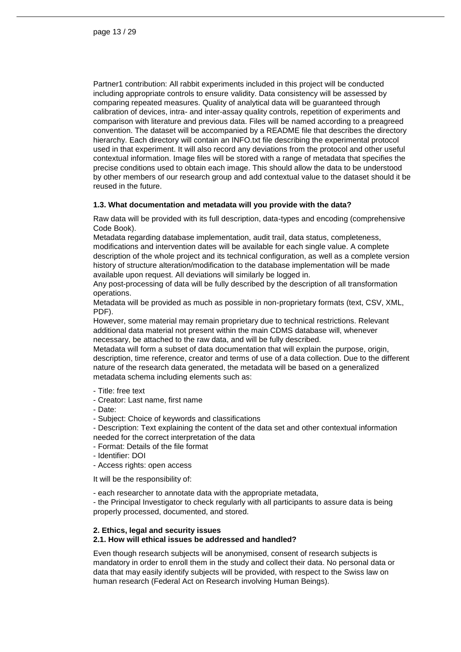Partner1 contribution: All rabbit experiments included in this project will be conducted including appropriate controls to ensure validity. Data consistency will be assessed by comparing repeated measures. Quality of analytical data will be guaranteed through calibration of devices, intra- and inter-assay quality controls, repetition of experiments and comparison with literature and previous data. Files will be named according to a preagreed convention. The dataset will be accompanied by a README file that describes the directory hierarchy. Each directory will contain an INFO.txt file describing the experimental protocol used in that experiment. It will also record any deviations from the protocol and other useful contextual information. Image files will be stored with a range of metadata that specifies the precise conditions used to obtain each image. This should allow the data to be understood by other members of our research group and add contextual value to the dataset should it be reused in the future.

#### **1.3. What documentation and metadata will you provide with the data?**

Raw data will be provided with its full description, data-types and encoding (comprehensive Code Book).

Metadata regarding database implementation, audit trail, data status, completeness, modifications and intervention dates will be available for each single value. A complete description of the whole project and its technical configuration, as well as a complete version history of structure alteration/modification to the database implementation will be made available upon request. All deviations will similarly be logged in.

Any post-processing of data will be fully described by the description of all transformation operations.

Metadata will be provided as much as possible in non-proprietary formats (text, CSV, XML, PDF).

However, some material may remain proprietary due to technical restrictions. Relevant additional data material not present within the main CDMS database will, whenever necessary, be attached to the raw data, and will be fully described.

Metadata will form a subset of data documentation that will explain the purpose, origin, description, time reference, creator and terms of use of a data collection. Due to the different nature of the research data generated, the metadata will be based on a generalized metadata schema including elements such as:

- Title: free text
- Creator: Last name, first name
- Date:
- Subject: Choice of keywords and classifications

- Description: Text explaining the content of the data set and other contextual information needed for the correct interpretation of the data

- Format: Details of the file format
- Identifier: DOI
- Access rights: open access

It will be the responsibility of:

- each researcher to annotate data with the appropriate metadata,

- the Principal Investigator to check regularly with all participants to assure data is being properly processed, documented, and stored.

#### **2. Ethics, legal and security issues**

#### **2.1. How will ethical issues be addressed and handled?**

Even though research subjects will be anonymised, consent of research subjects is mandatory in order to enroll them in the study and collect their data. No personal data or data that may easily identify subjects will be provided, with respect to the Swiss law on human research (Federal Act on Research involving Human Beings).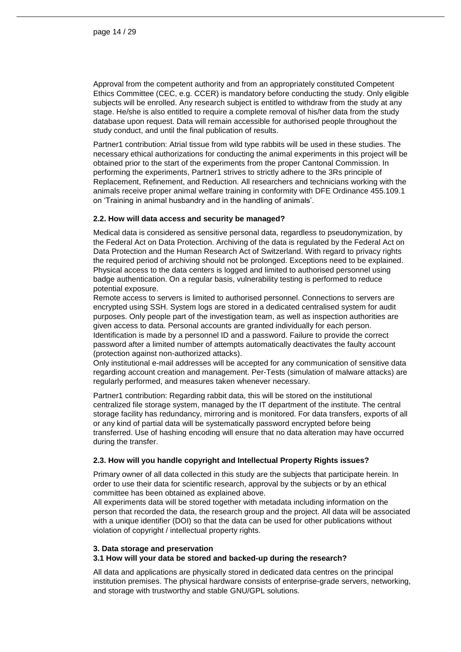Approval from the competent authority and from an appropriately constituted Competent Ethics Committee (CEC, e.g. CCER) is mandatory before conducting the study. Only eligible subjects will be enrolled. Any research subject is entitled to withdraw from the study at any stage. He/she is also entitled to require a complete removal of his/her data from the study database upon request. Data will remain accessible for authorised people throughout the study conduct, and until the final publication of results.

Partner1 contribution: Atrial tissue from wild type rabbits will be used in these studies. The necessary ethical authorizations for conducting the animal experiments in this project will be obtained prior to the start of the experiments from the proper Cantonal Commission. In performing the experiments, Partner1 strives to strictly adhere to the 3Rs principle of Replacement, Refinement, and Reduction. All researchers and technicians working with the animals receive proper animal welfare training in conformity with DFE Ordinance 455.109.1 on 'Training in animal husbandry and in the handling of animals'.

#### **2.2. How will data access and security be managed?**

Medical data is considered as sensitive personal data, regardless to pseudonymization, by the Federal Act on Data Protection. Archiving of the data is regulated by the Federal Act on Data Protection and the Human Research Act of Switzerland. With regard to privacy rights the required period of archiving should not be prolonged. Exceptions need to be explained. Physical access to the data centers is logged and limited to authorised personnel using badge authentication. On a regular basis, vulnerability testing is performed to reduce potential exposure.

Remote access to servers is limited to authorised personnel. Connections to servers are encrypted using SSH. System logs are stored in a dedicated centralised system for audit purposes. Only people part of the investigation team, as well as inspection authorities are given access to data. Personal accounts are granted individually for each person. Identification is made by a personnel ID and a password. Failure to provide the correct password after a limited number of attempts automatically deactivates the faulty account (protection against non-authorized attacks).

Only institutional e-mail addresses will be accepted for any communication of sensitive data regarding account creation and management. Per-Tests (simulation of malware attacks) are regularly performed, and measures taken whenever necessary.

Partner1 contribution: Regarding rabbit data, this will be stored on the institutional centralized file storage system, managed by the IT department of the institute. The central storage facility has redundancy, mirroring and is monitored. For data transfers, exports of all or any kind of partial data will be systematically password encrypted before being transferred. Use of hashing encoding will ensure that no data alteration may have occurred during the transfer.

#### **2.3. How will you handle copyright and Intellectual Property Rights issues?**

Primary owner of all data collected in this study are the subjects that participate herein. In order to use their data for scientific research, approval by the subjects or by an ethical committee has been obtained as explained above.

All experiments data will be stored together with metadata including information on the person that recorded the data, the research group and the project. All data will be associated with a unique identifier (DOI) so that the data can be used for other publications without violation of copyright / intellectual property rights.

#### **3. Data storage and preservation**

#### **3.1 How will your data be stored and backed-up during the research?**

All data and applications are physically stored in dedicated data centres on the principal institution premises. The physical hardware consists of enterprise-grade servers, networking, and storage with trustworthy and stable GNU/GPL solutions.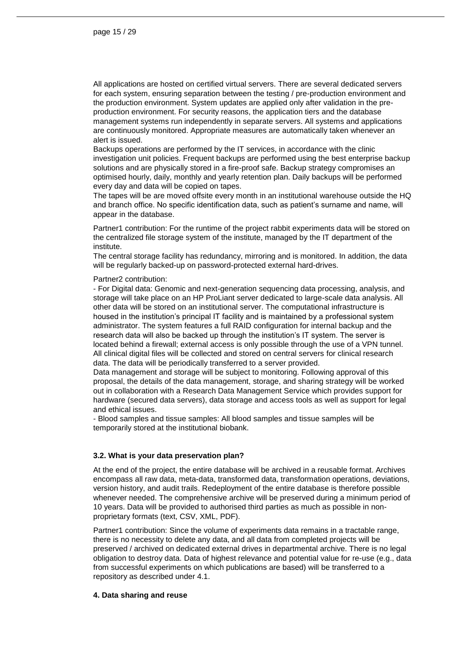All applications are hosted on certified virtual servers. There are several dedicated servers for each system, ensuring separation between the testing / pre-production environment and the production environment. System updates are applied only after validation in the preproduction environment. For security reasons, the application tiers and the database management systems run independently in separate servers. All systems and applications are continuously monitored. Appropriate measures are automatically taken whenever an alert is issued.

Backups operations are performed by the IT services, in accordance with the clinic investigation unit policies. Frequent backups are performed using the best enterprise backup solutions and are physically stored in a fire-proof safe. Backup strategy compromises an optimised hourly, daily, monthly and yearly retention plan. Daily backups will be performed every day and data will be copied on tapes.

The tapes will be are moved offsite every month in an institutional warehouse outside the HQ and branch office. No specific identification data, such as patient's surname and name, will appear in the database.

Partner1 contribution: For the runtime of the project rabbit experiments data will be stored on the centralized file storage system of the institute, managed by the IT department of the institute.

The central storage facility has redundancy, mirroring and is monitored. In addition, the data will be regularly backed-up on password-protected external hard-drives.

#### Partner2 contribution:

- For Digital data: Genomic and next-generation sequencing data processing, analysis, and storage will take place on an HP ProLiant server dedicated to large-scale data analysis. All other data will be stored on an institutional server. The computational infrastructure is housed in the institution's principal IT facility and is maintained by a professional system administrator. The system features a full RAID configuration for internal backup and the research data will also be backed up through the institution's IT system. The server is located behind a firewall; external access is only possible through the use of a VPN tunnel. All clinical digital files will be collected and stored on central servers for clinical research data. The data will be periodically transferred to a server provided.

Data management and storage will be subject to monitoring. Following approval of this proposal, the details of the data management, storage, and sharing strategy will be worked out in collaboration with a Research Data Management Service which provides support for hardware (secured data servers), data storage and access tools as well as support for legal and ethical issues.

- Blood samples and tissue samples: All blood samples and tissue samples will be temporarily stored at the institutional biobank.

#### **3.2. What is your data preservation plan?**

At the end of the project, the entire database will be archived in a reusable format. Archives encompass all raw data, meta-data, transformed data, transformation operations, deviations, version history, and audit trails. Redeployment of the entire database is therefore possible whenever needed. The comprehensive archive will be preserved during a minimum period of 10 years. Data will be provided to authorised third parties as much as possible in nonproprietary formats (text, CSV, XML, PDF).

Partner1 contribution: Since the volume of experiments data remains in a tractable range, there is no necessity to delete any data, and all data from completed projects will be preserved / archived on dedicated external drives in departmental archive. There is no legal obligation to destroy data. Data of highest relevance and potential value for re-use (e.g., data from successful experiments on which publications are based) will be transferred to a repository as described under 4.1.

#### **4. Data sharing and reuse**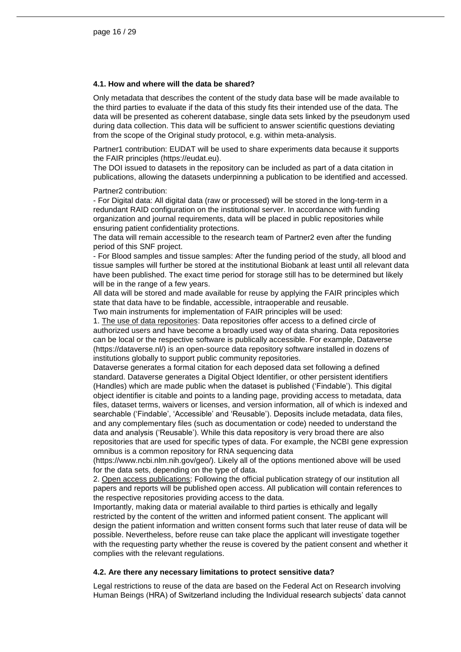#### **4.1. How and where will the data be shared?**

Only metadata that describes the content of the study data base will be made available to the third parties to evaluate if the data of this study fits their intended use of the data. The data will be presented as coherent database, single data sets linked by the pseudonym used during data collection. This data will be sufficient to answer scientific questions deviating from the scope of the Original study protocol, e.g. within meta-analysis.

Partner1 contribution: EUDAT will be used to share experiments data because it supports the FAIR principles (https://eudat.eu).

The DOI issued to datasets in the repository can be included as part of a data citation in publications, allowing the datasets underpinning a publication to be identified and accessed.

Partner2 contribution:

- For Digital data: All digital data (raw or processed) will be stored in the long-term in a redundant RAID configuration on the institutional server. In accordance with funding organization and journal requirements, data will be placed in public repositories while ensuring patient confidentiality protections.

The data will remain accessible to the research team of Partner2 even after the funding period of this SNF project.

- For Blood samples and tissue samples: After the funding period of the study, all blood and tissue samples will further be stored at the institutional Biobank at least until all relevant data have been published. The exact time period for storage still has to be determined but likely will be in the range of a few years.

All data will be stored and made available for reuse by applying the FAIR principles which state that data have to be findable, accessible, intraoperable and reusable. Two main instruments for implementation of FAIR principles will be used:

1. The use of data repositories: Data repositories offer access to a defined circle of authorized users and have become a broadly used way of data sharing. Data repositories can be local or the respective software is publically accessible. For example, Dataverse (https://dataverse.nl/) is an open-source data repository software installed in dozens of

institutions globally to support public community repositories.

Dataverse generates a formal citation for each deposed data set following a defined standard. Dataverse generates a Digital Object Identifier, or other persistent identifiers (Handles) which are made public when the dataset is published ('Findable'). This digital object identifier is citable and points to a landing page, providing access to metadata, data files, dataset terms, waivers or licenses, and version information, all of which is indexed and searchable ('Findable', 'Accessible' and 'Reusable'). Deposits include metadata, data files, and any complementary files (such as documentation or code) needed to understand the data and analysis ('Reusable'). While this data repository is very broad there are also repositories that are used for specific types of data. For example, the NCBI gene expression omnibus is a common repository for RNA sequencing data

(https://www.ncbi.nlm.nih.gov/geo/). Likely all of the options mentioned above will be used for the data sets, depending on the type of data.

2. Open access publications: Following the official publication strategy of our institution all papers and reports will be published open access. All publication will contain references to the respective repositories providing access to the data.

Importantly, making data or material available to third parties is ethically and legally restricted by the content of the written and informed patient consent. The applicant will design the patient information and written consent forms such that later reuse of data will be possible. Nevertheless, before reuse can take place the applicant will investigate together with the requesting party whether the reuse is covered by the patient consent and whether it complies with the relevant regulations.

#### **4.2. Are there any necessary limitations to protect sensitive data?**

Legal restrictions to reuse of the data are based on the Federal Act on Research involving Human Beings (HRA) of Switzerland including the Individual research subjects' data cannot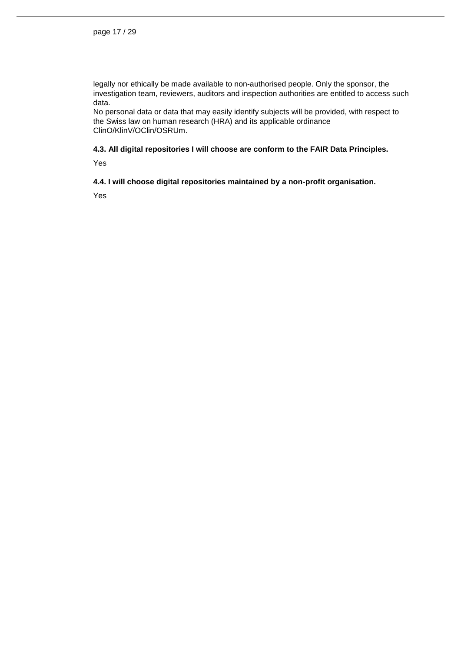legally nor ethically be made available to non-authorised people. Only the sponsor, the investigation team, reviewers, auditors and inspection authorities are entitled to access such data.

No personal data or data that may easily identify subjects will be provided, with respect to the Swiss law on human research (HRA) and its applicable ordinance ClinO/KlinV/OClin/OSRUm.

#### **4.3. All digital repositories I will choose are conform to the FAIR Data Principles.**

Yes

#### **4.4. I will choose digital repositories maintained by a non-profit organisation.**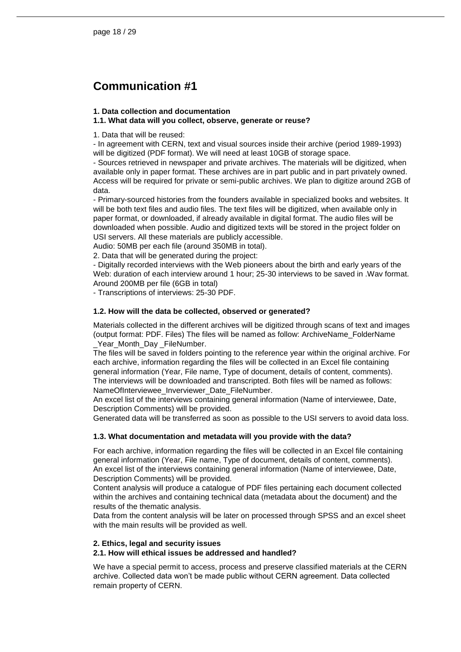## <span id="page-17-0"></span>**Communication #1**

#### **1. Data collection and documentation**

#### **1.1. What data will you collect, observe, generate or reuse?**

1. Data that will be reused:

- In agreement with CERN, text and visual sources inside their archive (period 1989-1993) will be digitized (PDF format). We will need at least 10GB of storage space.

- Sources retrieved in newspaper and private archives. The materials will be digitized, when available only in paper format. These archives are in part public and in part privately owned. Access will be required for private or semi-public archives. We plan to digitize around 2GB of data.

- Primary-sourced histories from the founders available in specialized books and websites. It will be both text files and audio files. The text files will be digitized, when available only in paper format, or downloaded, if already available in digital format. The audio files will be downloaded when possible. Audio and digitized texts will be stored in the project folder on USI servers. All these materials are publicly accessible.

Audio: 50MB per each file (around 350MB in total).

2. Data that will be generated during the project:

- Digitally recorded interviews with the Web pioneers about the birth and early years of the Web: duration of each interview around 1 hour; 25-30 interviews to be saved in .Wav format. Around 200MB per file (6GB in total)

- Transcriptions of interviews: 25-30 PDF.

#### **1.2. How will the data be collected, observed or generated?**

Materials collected in the different archives will be digitized through scans of text and images (output format: PDF. Files) The files will be named as follow: ArchiveName\_FolderName Year Month Day FileNumber.

The files will be saved in folders pointing to the reference year within the original archive. For each archive, information regarding the files will be collected in an Excel file containing general information (Year, File name, Type of document, details of content, comments). The interviews will be downloaded and transcripted. Both files will be named as follows: NameOfInterviewee\_Inverviewer\_Date\_FileNumber.

An excel list of the interviews containing general information (Name of interviewee, Date, Description Comments) will be provided.

Generated data will be transferred as soon as possible to the USI servers to avoid data loss.

#### **1.3. What documentation and metadata will you provide with the data?**

For each archive, information regarding the files will be collected in an Excel file containing general information (Year, File name, Type of document, details of content, comments). An excel list of the interviews containing general information (Name of interviewee, Date, Description Comments) will be provided.

Content analysis will produce a catalogue of PDF files pertaining each document collected within the archives and containing technical data (metadata about the document) and the results of the thematic analysis.

Data from the content analysis will be later on processed through SPSS and an excel sheet with the main results will be provided as well.

#### **2. Ethics, legal and security issues**

#### **2.1. How will ethical issues be addressed and handled?**

We have a special permit to access, process and preserve classified materials at the CERN archive. Collected data won't be made public without CERN agreement. Data collected remain property of CERN.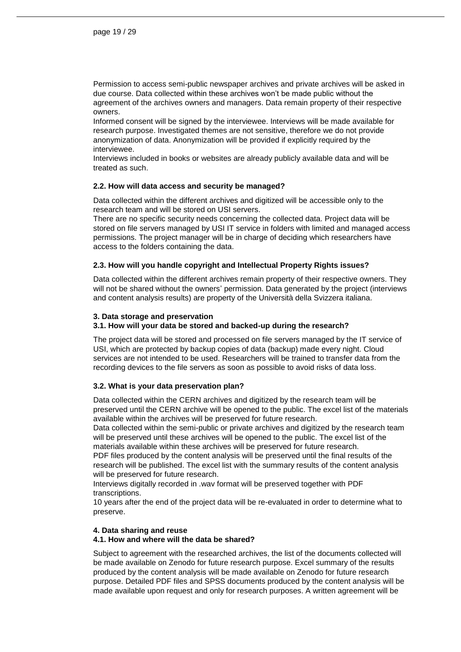Permission to access semi-public newspaper archives and private archives will be asked in due course. Data collected within these archives won't be made public without the agreement of the archives owners and managers. Data remain property of their respective owners.

Informed consent will be signed by the interviewee. Interviews will be made available for research purpose. Investigated themes are not sensitive, therefore we do not provide anonymization of data. Anonymization will be provided if explicitly required by the interviewee.

Interviews included in books or websites are already publicly available data and will be treated as such.

#### **2.2. How will data access and security be managed?**

Data collected within the different archives and digitized will be accessible only to the research team and will be stored on USI servers.

There are no specific security needs concerning the collected data. Project data will be stored on file servers managed by USI IT service in folders with limited and managed access permissions. The project manager will be in charge of deciding which researchers have access to the folders containing the data.

#### **2.3. How will you handle copyright and Intellectual Property Rights issues?**

Data collected within the different archives remain property of their respective owners. They will not be shared without the owners' permission. Data generated by the project (interviews and content analysis results) are property of the Università della Svizzera italiana.

#### **3. Data storage and preservation**

#### **3.1. How will your data be stored and backed-up during the research?**

The project data will be stored and processed on file servers managed by the IT service of USI, which are protected by backup copies of data (backup) made every night. Cloud services are not intended to be used. Researchers will be trained to transfer data from the recording devices to the file servers as soon as possible to avoid risks of data loss.

#### **3.2. What is your data preservation plan?**

Data collected within the CERN archives and digitized by the research team will be preserved until the CERN archive will be opened to the public. The excel list of the materials available within the archives will be preserved for future research.

Data collected within the semi-public or private archives and digitized by the research team will be preserved until these archives will be opened to the public. The excel list of the materials available within these archives will be preserved for future research.

PDF files produced by the content analysis will be preserved until the final results of the research will be published. The excel list with the summary results of the content analysis will be preserved for future research.

Interviews digitally recorded in .wav format will be preserved together with PDF transcriptions.

10 years after the end of the project data will be re-evaluated in order to determine what to preserve.

#### **4. Data sharing and reuse**

#### **4.1. How and where will the data be shared?**

Subject to agreement with the researched archives, the list of the documents collected will be made available on Zenodo for future research purpose. Excel summary of the results produced by the content analysis will be made available on Zenodo for future research purpose. Detailed PDF files and SPSS documents produced by the content analysis will be made available upon request and only for research purposes. A written agreement will be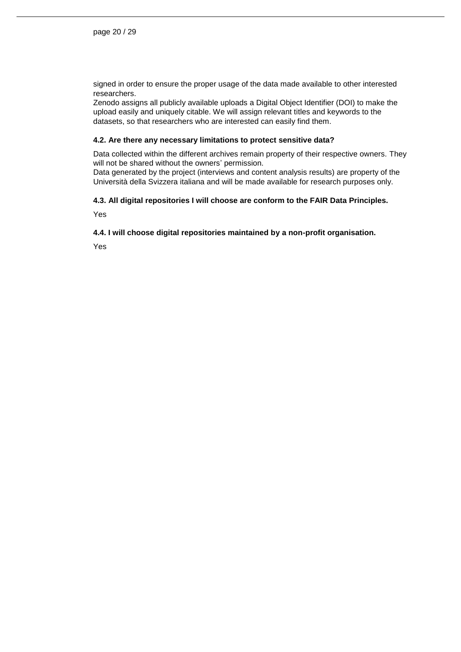signed in order to ensure the proper usage of the data made available to other interested researchers.

Zenodo assigns all publicly available uploads a Digital Object Identifier (DOI) to make the upload easily and uniquely citable. We will assign relevant titles and keywords to the datasets, so that researchers who are interested can easily find them.

#### **4.2. Are there any necessary limitations to protect sensitive data?**

Data collected within the different archives remain property of their respective owners. They will not be shared without the owners' permission.

Data generated by the project (interviews and content analysis results) are property of the Università della Svizzera italiana and will be made available for research purposes only.

#### **4.3. All digital repositories I will choose are conform to the FAIR Data Principles.**

Yes

#### **4.4. I will choose digital repositories maintained by a non-profit organisation.**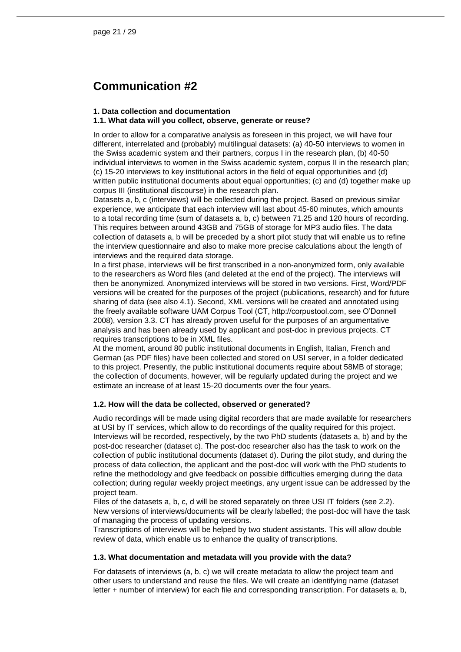## <span id="page-20-0"></span>**Communication #2**

#### **1. Data collection and documentation**

#### **1.1. What data will you collect, observe, generate or reuse?**

In order to allow for a comparative analysis as foreseen in this project, we will have four different, interrelated and (probably) multilingual datasets: (a) 40-50 interviews to women in the Swiss academic system and their partners, corpus I in the research plan, (b) 40-50 individual interviews to women in the Swiss academic system, corpus II in the research plan; (c) 15-20 interviews to key institutional actors in the field of equal opportunities and (d) written public institutional documents about equal opportunities; (c) and (d) together make up corpus III (institutional discourse) in the research plan.

Datasets a, b, c (interviews) will be collected during the project. Based on previous similar experience, we anticipate that each interview will last about 45-60 minutes, which amounts to a total recording time (sum of datasets a, b, c) between 71.25 and 120 hours of recording. This requires between around 43GB and 75GB of storage for MP3 audio files. The data collection of datasets a, b will be preceded by a short pilot study that will enable us to refine the interview questionnaire and also to make more precise calculations about the length of interviews and the required data storage.

In a first phase, interviews will be first transcribed in a non-anonymized form, only available to the researchers as Word files (and deleted at the end of the project). The interviews will then be anonymized. Anonymized interviews will be stored in two versions. First, Word/PDF versions will be created for the purposes of the project (publications, research) and for future sharing of data (see also 4.1). Second, XML versions will be created and annotated using the freely available software UAM Corpus Tool (CT, http://corpustool.com, see O'Donnell 2008), version 3.3. CT has already proven useful for the purposes of an argumentative analysis and has been already used by applicant and post-doc in previous projects. CT requires transcriptions to be in XML files.

At the moment, around 80 public institutional documents in English, Italian, French and German (as PDF files) have been collected and stored on USI server, in a folder dedicated to this project. Presently, the public institutional documents require about 58MB of storage; the collection of documents, however, will be regularly updated during the project and we estimate an increase of at least 15-20 documents over the four years.

#### **1.2. How will the data be collected, observed or generated?**

Audio recordings will be made using digital recorders that are made available for researchers at USI by IT services, which allow to do recordings of the quality required for this project. Interviews will be recorded, respectively, by the two PhD students (datasets a, b) and by the post-doc researcher (dataset c). The post-doc researcher also has the task to work on the collection of public institutional documents (dataset d). During the pilot study, and during the process of data collection, the applicant and the post-doc will work with the PhD students to refine the methodology and give feedback on possible difficulties emerging during the data collection; during regular weekly project meetings, any urgent issue can be addressed by the project team.

Files of the datasets a, b, c, d will be stored separately on three USI IT folders (see 2.2). New versions of interviews/documents will be clearly labelled; the post-doc will have the task of managing the process of updating versions.

Transcriptions of interviews will be helped by two student assistants. This will allow double review of data, which enable us to enhance the quality of transcriptions.

#### **1.3. What documentation and metadata will you provide with the data?**

For datasets of interviews (a, b, c) we will create metadata to allow the project team and other users to understand and reuse the files. We will create an identifying name (dataset letter + number of interview) for each file and corresponding transcription. For datasets a, b,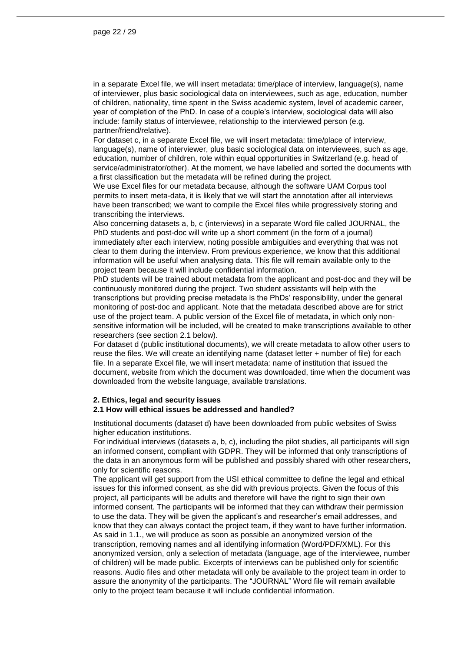in a separate Excel file, we will insert metadata: time/place of interview, language(s), name of interviewer, plus basic sociological data on interviewees, such as age, education, number of children, nationality, time spent in the Swiss academic system, level of academic career, year of completion of the PhD. In case of a couple's interview, sociological data will also include: family status of interviewee, relationship to the interviewed person (e.g. partner/friend/relative).

For dataset c, in a separate Excel file, we will insert metadata: time/place of interview, language(s), name of interviewer, plus basic sociological data on interviewees, such as age, education, number of children, role within equal opportunities in Switzerland (e.g. head of service/administrator/other). At the moment, we have labelled and sorted the documents with a first classification but the metadata will be refined during the project.

We use Excel files for our metadata because, although the software UAM Corpus tool permits to insert meta-data, it is likely that we will start the annotation after all interviews have been transcribed; we want to compile the Excel files while progressively storing and transcribing the interviews.

Also concerning datasets a, b, c (interviews) in a separate Word file called JOURNAL, the PhD students and post-doc will write up a short comment (in the form of a journal) immediately after each interview, noting possible ambiguities and everything that was not clear to them during the interview. From previous experience, we know that this additional information will be useful when analysing data. This file will remain available only to the project team because it will include confidential information.

PhD students will be trained about metadata from the applicant and post-doc and they will be continuously monitored during the project. Two student assistants will help with the transcriptions but providing precise metadata is the PhDs' responsibility, under the general monitoring of post-doc and applicant. Note that the metadata described above are for strict use of the project team. A public version of the Excel file of metadata, in which only nonsensitive information will be included, will be created to make transcriptions available to other researchers (see section 2.1 below).

For dataset d (public institutional documents), we will create metadata to allow other users to reuse the files. We will create an identifying name (dataset letter + number of file) for each file. In a separate Excel file, we will insert metadata: name of institution that issued the document, website from which the document was downloaded, time when the document was downloaded from the website language, available translations.

#### **2. Ethics, legal and security issues 2.1 How will ethical issues be addressed and handled?**

Institutional documents (dataset d) have been downloaded from public websites of Swiss higher education institutions.

For individual interviews (datasets a, b, c), including the pilot studies, all participants will sign an informed consent, compliant with GDPR. They will be informed that only transcriptions of the data in an anonymous form will be published and possibly shared with other researchers, only for scientific reasons.

The applicant will get support from the USI ethical committee to define the legal and ethical issues for this informed consent, as she did with previous projects. Given the focus of this project, all participants will be adults and therefore will have the right to sign their own informed consent. The participants will be informed that they can withdraw their permission to use the data. They will be given the applicant's and researcher's email addresses, and know that they can always contact the project team, if they want to have further information. As said in 1.1., we will produce as soon as possible an anonymized version of the transcription, removing names and all identifying information (Word/PDF/XML). For this anonymized version, only a selection of metadata (language, age of the interviewee, number of children) will be made public. Excerpts of interviews can be published only for scientific reasons. Audio files and other metadata will only be available to the project team in order to assure the anonymity of the participants. The "JOURNAL" Word file will remain available only to the project team because it will include confidential information.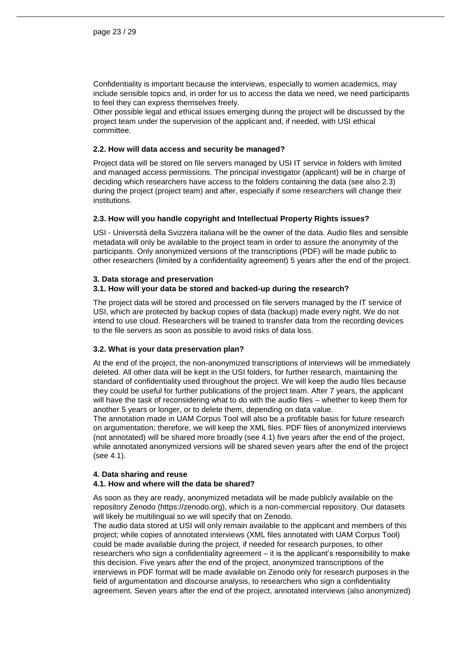Confidentiality is important because the interviews, especially to women academics, may include sensible topics and, in order for us to access the data we need, we need participants to feel they can express themselves freely.

Other possible legal and ethical issues emerging during the project will be discussed by the project team under the supervision of the applicant and, if needed, with USI ethical committee.

#### **2.2. How will data access and security be managed?**

Project data will be stored on file servers managed by USI IT service in folders with limited and managed access permissions. The principal investigator (applicant) will be in charge of deciding which researchers have access to the folders containing the data (see also 2.3) during the project (project team) and after, especially if some researchers will change their institutions.

#### **2.3. How will you handle copyright and Intellectual Property Rights issues?**

USI - Università della Svizzera italiana will be the owner of the data. Audio files and sensible metadata will only be available to the project team in order to assure the anonymity of the participants. Only anonymized versions of the transcriptions (PDF) will be made public to other researchers (limited by a confidentiality agreement) 5 years after the end of the project.

#### **3. Data storage and preservation**

#### **3.1. How will your data be stored and backed-up during the research?**

The project data will be stored and processed on file servers managed by the IT service of USI, which are protected by backup copies of data (backup) made every night. We do not intend to use cloud. Researchers will be trained to transfer data from the recording devices to the file servers as soon as possible to avoid risks of data loss.

#### **3.2. What is your data preservation plan?**

At the end of the project, the non-anonymized transcriptions of interviews will be immediately deleted. All other data will be kept in the USI folders, for further research, maintaining the standard of confidentiality used throughout the project. We will keep the audio files because they could be useful for further publications of the project team. After 7 years, the applicant will have the task of reconsidering what to do with the audio files – whether to keep them for another 5 years or longer, or to delete them, depending on data value.

The annotation made in UAM Corpus Tool will also be a profitable basis for future research on argumentation; therefore, we will keep the XML files. PDF files of anonymized interviews (not annotated) will be shared more broadly (see 4.1) five years after the end of the project, while annotated anonymized versions will be shared seven years after the end of the project (see 4.1).

#### **4. Data sharing and reuse 4.1. How and where will the data be shared?**

As soon as they are ready, anonymized metadata will be made publicly available on the repository Zenodo (https://zenodo.org), which is a non-commercial repository. Our datasets will likely be multilingual so we will specify that on Zenodo.

The audio data stored at USI will only remain available to the applicant and members of this project; while copies of annotated interviews (XML files annotated with UAM Corpus Tool) could be made available during the project, if needed for research purposes, to other researchers who sign a confidentiality agreement – it is the applicant's responsibility to make this decision. Five years after the end of the project, anonymized transcriptions of the interviews in PDF format will be made available on Zenodo only for research purposes in the field of argumentation and discourse analysis, to researchers who sign a confidentiality agreement. Seven years after the end of the project, annotated interviews (also anonymized)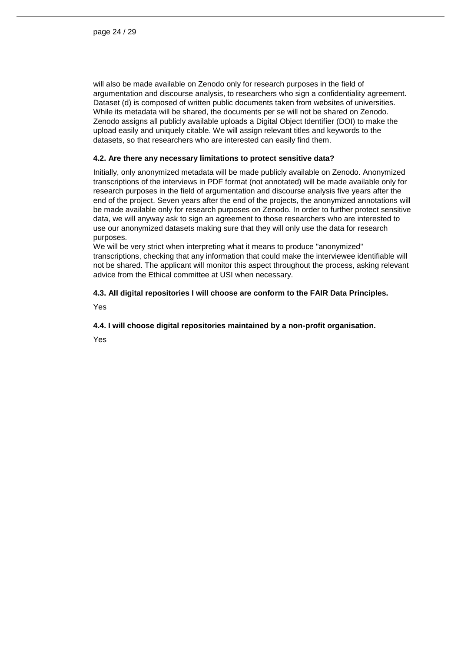will also be made available on Zenodo only for research purposes in the field of argumentation and discourse analysis, to researchers who sign a confidentiality agreement. Dataset (d) is composed of written public documents taken from websites of universities. While its metadata will be shared, the documents per se will not be shared on Zenodo. Zenodo assigns all publicly available uploads a Digital Object Identifier (DOI) to make the upload easily and uniquely citable. We will assign relevant titles and keywords to the datasets, so that researchers who are interested can easily find them.

#### **4.2. Are there any necessary limitations to protect sensitive data?**

Initially, only anonymized metadata will be made publicly available on Zenodo. Anonymized transcriptions of the interviews in PDF format (not annotated) will be made available only for research purposes in the field of argumentation and discourse analysis five years after the end of the project. Seven years after the end of the projects, the anonymized annotations will be made available only for research purposes on Zenodo. In order to further protect sensitive data, we will anyway ask to sign an agreement to those researchers who are interested to use our anonymized datasets making sure that they will only use the data for research purposes.

We will be very strict when interpreting what it means to produce "anonymized" transcriptions, checking that any information that could make the interviewee identifiable will not be shared. The applicant will monitor this aspect throughout the process, asking relevant advice from the Ethical committee at USI when necessary.

#### **4.3. All digital repositories I will choose are conform to the FAIR Data Principles.**

Yes

#### **4.4. I will choose digital repositories maintained by a non-profit organisation.**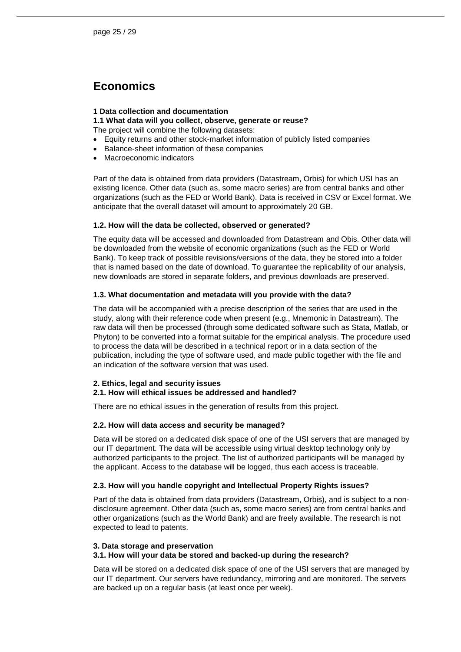### <span id="page-24-0"></span>**Economics**

#### **1 Data collection and documentation**

#### **1.1 What data will you collect, observe, generate or reuse?**

- The project will combine the following datasets:
- Equity returns and other stock-market information of publicly listed companies
- Balance-sheet information of these companies
- Macroeconomic indicators

Part of the data is obtained from data providers (Datastream, Orbis) for which USI has an existing licence. Other data (such as, some macro series) are from central banks and other organizations (such as the FED or World Bank). Data is received in CSV or Excel format. We anticipate that the overall dataset will amount to approximately 20 GB.

#### **1.2. How will the data be collected, observed or generated?**

The equity data will be accessed and downloaded from Datastream and Obis. Other data will be downloaded from the website of economic organizations (such as the FED or World Bank). To keep track of possible revisions/versions of the data, they be stored into a folder that is named based on the date of download. To guarantee the replicability of our analysis, new downloads are stored in separate folders, and previous downloads are preserved.

#### **1.3. What documentation and metadata will you provide with the data?**

The data will be accompanied with a precise description of the series that are used in the study, along with their reference code when present (e.g., Mnemonic in Datastream). The raw data will then be processed (through some dedicated software such as Stata, Matlab, or Phyton) to be converted into a format suitable for the empirical analysis. The procedure used to process the data will be described in a technical report or in a data section of the publication, including the type of software used, and made public together with the file and an indication of the software version that was used.

#### **2. Ethics, legal and security issues**

#### **2.1. How will ethical issues be addressed and handled?**

There are no ethical issues in the generation of results from this project.

#### **2.2. How will data access and security be managed?**

Data will be stored on a dedicated disk space of one of the USI servers that are managed by our IT department. The data will be accessible using virtual desktop technology only by authorized participants to the project. The list of authorized participants will be managed by the applicant. Access to the database will be logged, thus each access is traceable.

#### **2.3. How will you handle copyright and Intellectual Property Rights issues?**

Part of the data is obtained from data providers (Datastream, Orbis), and is subject to a nondisclosure agreement. Other data (such as, some macro series) are from central banks and other organizations (such as the World Bank) and are freely available. The research is not expected to lead to patents.

#### **3. Data storage and preservation**

#### **3.1. How will your data be stored and backed-up during the research?**

Data will be stored on a dedicated disk space of one of the USI servers that are managed by our IT department. Our servers have redundancy, mirroring and are monitored. The servers are backed up on a regular basis (at least once per week).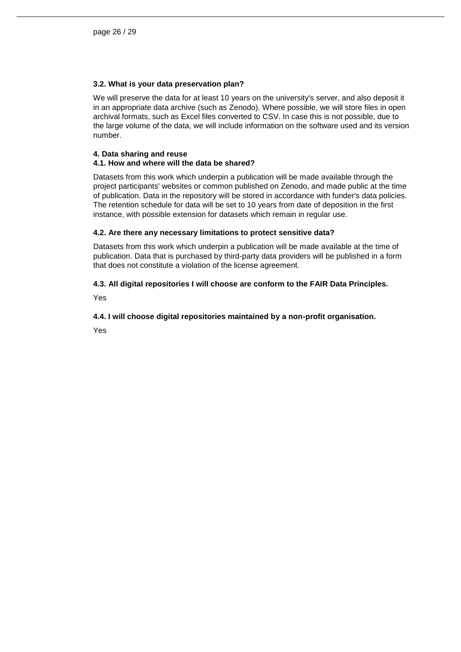#### **3.2. What is your data preservation plan?**

We will preserve the data for at least 10 years on the university's server, and also deposit it in an appropriate data archive (such as Zenodo). Where possible, we will store files in open archival formats, such as Excel files converted to CSV. In case this is not possible, due to the large volume of the data, we will include information on the software used and its version number.

#### **4. Data sharing and reuse**

#### **4.1. How and where will the data be shared?**

Datasets from this work which underpin a publication will be made available through the project participants' websites or common published on Zenodo, and made public at the time of publication. Data in the repository will be stored in accordance with funder's data policies. The retention schedule for data will be set to 10 years from date of deposition in the first instance, with possible extension for datasets which remain in regular use.

#### **4.2. Are there any necessary limitations to protect sensitive data?**

Datasets from this work which underpin a publication will be made available at the time of publication. Data that is purchased by third-party data providers will be published in a form that does not constitute a violation of the license agreement.

#### **4.3. All digital repositories I will choose are conform to the FAIR Data Principles.**

Yes

#### **4.4. I will choose digital repositories maintained by a non-profit organisation.**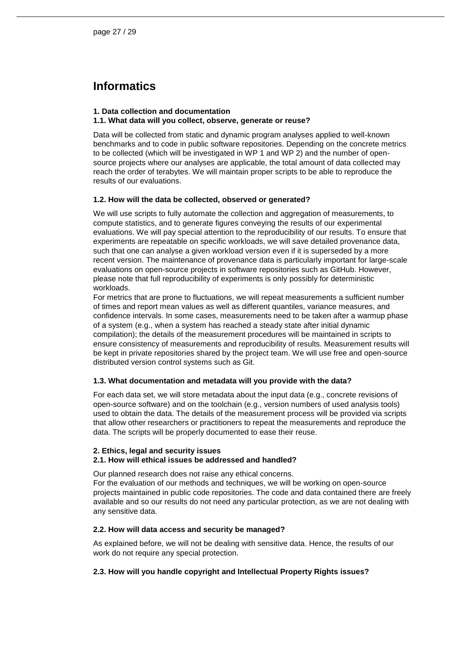## <span id="page-26-0"></span>**Informatics**

#### **1. Data collection and documentation**

#### **1.1. What data will you collect, observe, generate or reuse?**

Data will be collected from static and dynamic program analyses applied to well-known benchmarks and to code in public software repositories. Depending on the concrete metrics to be collected (which will be investigated in WP 1 and WP 2) and the number of opensource projects where our analyses are applicable, the total amount of data collected may reach the order of terabytes. We will maintain proper scripts to be able to reproduce the results of our evaluations.

#### **1.2. How will the data be collected, observed or generated?**

We will use scripts to fully automate the collection and aggregation of measurements, to compute statistics, and to generate figures conveying the results of our experimental evaluations. We will pay special attention to the reproducibility of our results. To ensure that experiments are repeatable on specific workloads, we will save detailed provenance data, such that one can analyse a given workload version even if it is superseded by a more recent version. The maintenance of provenance data is particularly important for large-scale evaluations on open-source projects in software repositories such as GitHub. However, please note that full reproducibility of experiments is only possibly for deterministic workloads.

For metrics that are prone to fluctuations, we will repeat measurements a sufficient number of times and report mean values as well as different quantiles, variance measures, and confidence intervals. In some cases, measurements need to be taken after a warmup phase of a system (e.g., when a system has reached a steady state after initial dynamic compilation); the details of the measurement procedures will be maintained in scripts to ensure consistency of measurements and reproducibility of results. Measurement results will be kept in private repositories shared by the project team. We will use free and open-source distributed version control systems such as Git.

#### **1.3. What documentation and metadata will you provide with the data?**

For each data set, we will store metadata about the input data (e.g., concrete revisions of open-source software) and on the toolchain (e.g., version numbers of used analysis tools) used to obtain the data. The details of the measurement process will be provided via scripts that allow other researchers or practitioners to repeat the measurements and reproduce the data. The scripts will be properly documented to ease their reuse.

#### **2. Ethics, legal and security issues**

#### **2.1. How will ethical issues be addressed and handled?**

Our planned research does not raise any ethical concerns.

For the evaluation of our methods and techniques, we will be working on open-source projects maintained in public code repositories. The code and data contained there are freely available and so our results do not need any particular protection, as we are not dealing with any sensitive data.

#### **2.2. How will data access and security be managed?**

As explained before, we will not be dealing with sensitive data. Hence, the results of our work do not require any special protection.

#### **2.3. How will you handle copyright and Intellectual Property Rights issues?**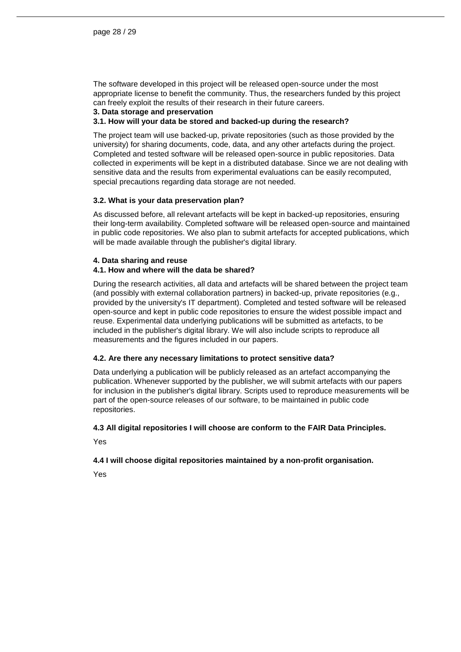The software developed in this project will be released open-source under the most appropriate license to benefit the community. Thus, the researchers funded by this project can freely exploit the results of their research in their future careers.

#### **3. Data storage and preservation**

#### **3.1. How will your data be stored and backed-up during the research?**

The project team will use backed-up, private repositories (such as those provided by the university) for sharing documents, code, data, and any other artefacts during the project. Completed and tested software will be released open-source in public repositories. Data collected in experiments will be kept in a distributed database. Since we are not dealing with sensitive data and the results from experimental evaluations can be easily recomputed, special precautions regarding data storage are not needed.

#### **3.2. What is your data preservation plan?**

As discussed before, all relevant artefacts will be kept in backed-up repositories, ensuring their long-term availability. Completed software will be released open-source and maintained in public code repositories. We also plan to submit artefacts for accepted publications, which will be made available through the publisher's digital library.

#### **4. Data sharing and reuse**

#### **4.1. How and where will the data be shared?**

During the research activities, all data and artefacts will be shared between the project team (and possibly with external collaboration partners) in backed-up, private repositories (e.g., provided by the university's IT department). Completed and tested software will be released open-source and kept in public code repositories to ensure the widest possible impact and reuse. Experimental data underlying publications will be submitted as artefacts, to be included in the publisher's digital library. We will also include scripts to reproduce all measurements and the figures included in our papers.

#### **4.2. Are there any necessary limitations to protect sensitive data?**

Data underlying a publication will be publicly released as an artefact accompanying the publication. Whenever supported by the publisher, we will submit artefacts with our papers for inclusion in the publisher's digital library. Scripts used to reproduce measurements will be part of the open-source releases of our software, to be maintained in public code repositories.

#### **4.3 All digital repositories I will choose are conform to the FAIR Data Principles.**

Yes

#### **4.4 I will choose digital repositories maintained by a non-profit organisation.**